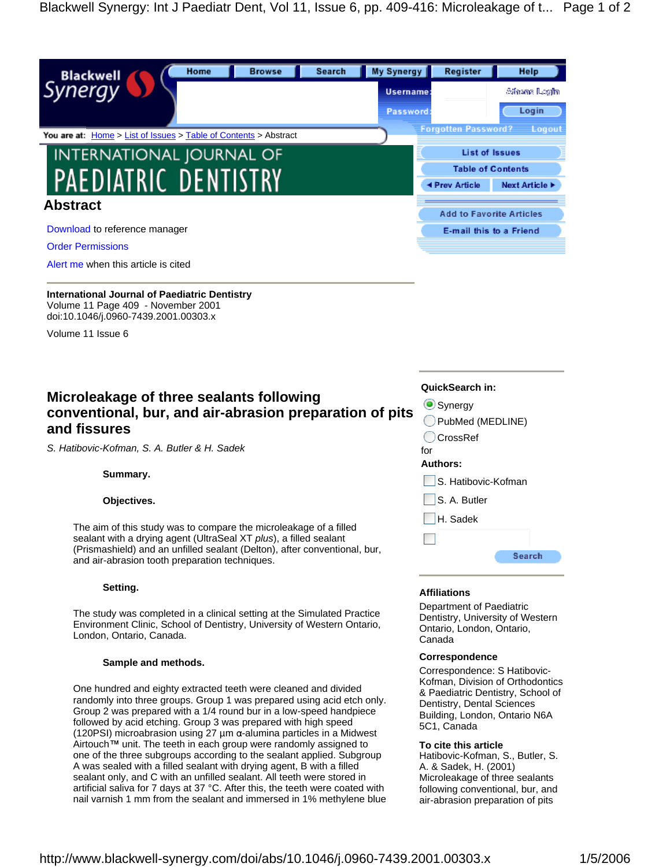| My Synergy<br>Home<br><b>Browse</b><br>Search<br><b>Blackwell</b><br>Synergy Y | Register<br>Username:      | Help<br>Alfaama Rogfin                     |
|--------------------------------------------------------------------------------|----------------------------|--------------------------------------------|
|                                                                                | Password                   | Login                                      |
| You are at: Home > List of Issues > Table of Contents > Abstract               | <b>Forgotten Password?</b> | Logout                                     |
| <b>INTERNATIONAL JOURNAL OF</b>                                                |                            | List of Issues                             |
| PAEDIATRIC DENTISTRY                                                           | ◀ Prev Article             | <b>Table of Contents</b><br>Next Article > |
| <b>Abstract</b>                                                                |                            | <b>Add to Favorite Articles</b>            |
| Download to reference manager                                                  |                            | E-mail this to a Friend                    |
| <b>Order Permissions</b>                                                       |                            |                                            |

**International Journal of Paediatric Dentistry** Volume 11 Page 409 - November 2001 doi:10.1046/j.0960-7439.2001.00303.x

Volume 11 Issue 6

# **Microleakage of three sealants following example and all property constraints Microleakage of three sealants following conventional, bur, and air-abrasion preparation of pits and fissures**

S. Hatibovic-Kofman, S. A. Butler & H. Sadek

The aim of this study was to compare the microleakage of a filled sealant with a drying agent (UltraSeal XT plus), a filled sealant (Prismashield) and an unfilled sealant (Delton), after conventional, bur,<br>and air abrasion tooth proparation tochniques and air-abrasion tooth preparation techniques.

# **Setting.**

The study was completed in a clinical setting at the Simulated Practice Environment Clinic, School of Dentistry, University of Western Ontario, London, Ontario, Canada.

# **Sample and methods.**

One hundred and eighty extracted teeth were cleaned and divided randomly into three groups. Group 1 was prepared using acid etch only. Group 2 was prepared with a 1/4 round bur in a low-speed handpiece followed by acid etching. Group 3 was prepared with high speed<br>6C1, Canada (120PSI) microabrasion using 27  $\mu$ m  $\alpha$ -alumina particles in a Midwest Airtouch  $\mathbb{M}$  unit. The teeth in each group were randomly assigned to **To cite this article** one of the three subgroups according to the sealant applied. Subgroup A was sealed with a filled sealant with drying agent, B with a filled sealant only, and C with an unfilled sealant. All teeth were stored in artificial saliva for 7 days at 37 °C. After this, the teeth were coated with nail varnish 1 mm from the sealant and immersed in 1% methylene blue

# **QuickSearch in:**

Synergy **Exercise Synergy** and the state of the state of the state of the state of the state of the state of the state of the state of the state of the state of the state of the state of the state of the state of the state PubMed (MEDLINE)

CrossRef for the contract of the contract of the contract of the contract of the contract of the contract of the contract of the contract of the contract of the contract of the contract of the contract of the contract of the contra

# **Authors:**

**Summary.** S. Hatibovic-Kofman

**Objectives.** S. A. Butler **S. A. Butler** 

H. Sadek

# **Affiliations**

Department of Paediatric Dentistry, University of Western Ontario, London, Ontario, Canada

# **Correspondence**

Correspondence: S Hatibovic- Kofman, Division of Orthodontics & Paediatric Dentistry, School of Dentistry, Dental Sciences Building, London, Ontario N6A 5C1, Canada

# **To cite this article**

Hatibovic-Kofman, S., Butler, S. A. & Sadek, H. (2001) Microleakage of three sealants following conventional, bur, and air-abrasion preparation of pits

Alert me when this article is cited